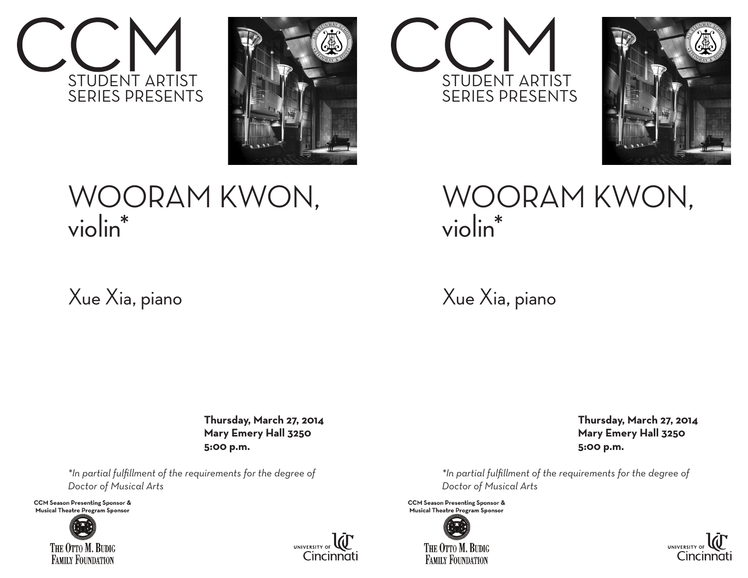



## WOORAM KWON, violin\*

## Xue Xia, piano

 **Thursday, March 27, 2014 Mary Emery Hall 3250 5:00 p.m.**

*\*In partial fulfillment of the requirements for the degree of Doctor of Musical Arts* 

**CCM Season Presenting Sponsor & Musical Theatre Program Sponsor**